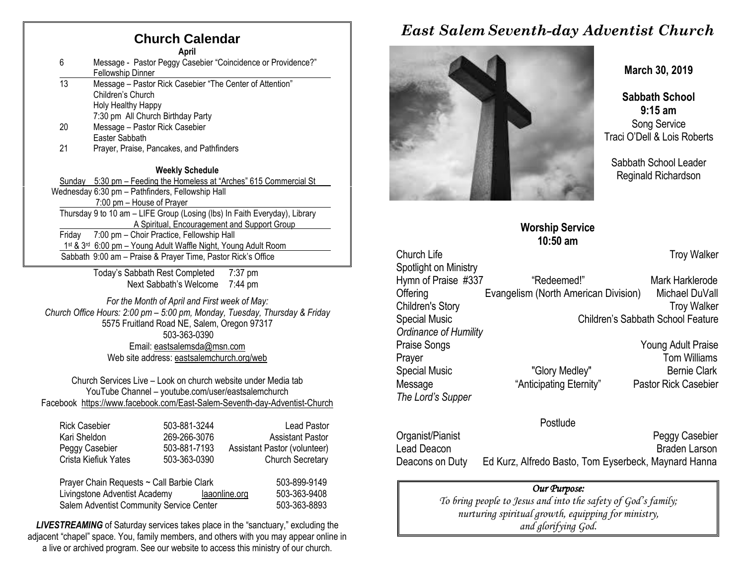## **Church Calendar**

**April**

| -6 | Message - Pastor Peggy Casebier "Coincidence or Providence?"<br>Fellowship Dinner |  |  |
|----|-----------------------------------------------------------------------------------|--|--|
| 13 | Message – Pastor Rick Casebier "The Center of Attention"<br>Ohildene's Ohilesh    |  |  |

Children's Church Holy Healthy Happy

- 7:30 pm All Church Birthday Party 20 Message – Pastor Rick Casebier
- Easter Sabbath
- 21 Prayer, Praise, Pancakes, and Pathfinders

#### **Weekly Schedule**

Sunday 5:30 pm – Feeding the Homeless at "Arches" 615 Commercial St Wednesday 6:30 pm – Pathfinders, Fellowship Hall 7:00 pm – House of Prayer Thursday 9 to 10 am – LIFE Group (Losing (lbs) In Faith Everyday), Library A Spiritual, Encouragement and Support Group Friday 7:00 pm – Choir Practice, Fellowship Hall 1st & 3<sup>rd</sup> 6:00 pm - Young Adult Waffle Night, Young Adult Room Sabbath 9:00 am – Praise & Prayer Time, Pastor Rick's Office

> Today's Sabbath Rest Completed 7:37 pm Next Sabbath's Welcome 7:44 pm

*For the Month of April and First week of May: Church Office Hours: 2:00 pm – 5:00 pm, Monday, Tuesday, Thursday & Friday* 5575 Fruitland Road NE, Salem, Oregon 97317 503-363-0390 Email: [eastsalemsda@msn.com](mailto:eastsalemsda@msn.com) Web site address[: eastsalemchurch.org/](http://eastsalem.adventists.info/)web

Church Services Live – Look on church website under Media tab YouTube Channel – youtube.com/user/eastsalemchurch Facebook [https://www.facebook.com/East-Salem-Seventh-day-Adventist-Church](https://www.facebook.com/East-Salem-Seventh-day-Adventist-Church-111402832212994/?fref=ts)

| <b>Rick Casebier</b>                      | 503-881-3244 |               | <b>Lead Pastor</b>           |
|-------------------------------------------|--------------|---------------|------------------------------|
| Kari Sheldon                              | 269-266-3076 |               | <b>Assistant Pastor</b>      |
| Peggy Casebier                            | 503-881-7193 |               | Assistant Pastor (volunteer) |
| Crista Kiefiuk Yates                      | 503-363-0390 |               | <b>Church Secretary</b>      |
| Prayer Chain Requests ~ Call Barbie Clark |              |               | 503-899-9149                 |
| Livingstone Adventist Academy             |              | laaonline.org | 503-363-9408                 |
| Salem Adventist Community Service Center  |              |               | 503-363-8893                 |

**LIVESTREAMING** of Saturday services takes place in the "sanctuary," excluding the adjacent "chapel" space. You, family members, and others with you may appear online in a live or archived program. See our website to access this ministry of our church.

# *East Salem Seventh-day Adventist Church*



**March 30, 2019**

**Sabbath School 9:15 am** Song Service Traci O'Dell & Lois Roberts

Sabbath School Leader Reginald Richardson

|                         | <b>ALCO JOINTLE</b>                  |                                   |
|-------------------------|--------------------------------------|-----------------------------------|
|                         | $10:50$ am                           |                                   |
| <b>Church Life</b>      |                                      | <b>Troy Walker</b>                |
| Spotlight on Ministry   |                                      |                                   |
| Hymn of Praise #337     | "Redeemed!"                          | Mark Harklerode                   |
| Offering                | Evangelism (North American Division) | Michael DuVall                    |
| <b>Children's Story</b> |                                      | <b>Troy Walker</b>                |
| <b>Special Music</b>    |                                      | Children's Sabbath School Feature |
| Ordinance of Humility   |                                      |                                   |
| <b>Praise Songs</b>     |                                      | Young Adult Praise                |
| Prayer                  |                                      | <b>Tom Williams</b>               |
| Special Music           | "Glory Medley"                       | <b>Bernie Clark</b>               |
| Message                 | "Anticipating Eternity"              | <b>Pastor Rick Casebier</b>       |
| The Lord's Supper       |                                      |                                   |
|                         |                                      |                                   |

**Worship Service**

#### Postlude

| Organist/Pianist | <b>Peggy Casebier</b>                                |
|------------------|------------------------------------------------------|
| Lead Deacon      | <b>Braden Larson</b>                                 |
| Deacons on Duty  | Ed Kurz, Alfredo Basto, Tom Eyserbeck, Maynard Hanna |

#### *Our Purpose:*

*To bring people to Jesus and into the safety of God's family; nurturing spiritual growth, equipping for ministry, and glorifying God.*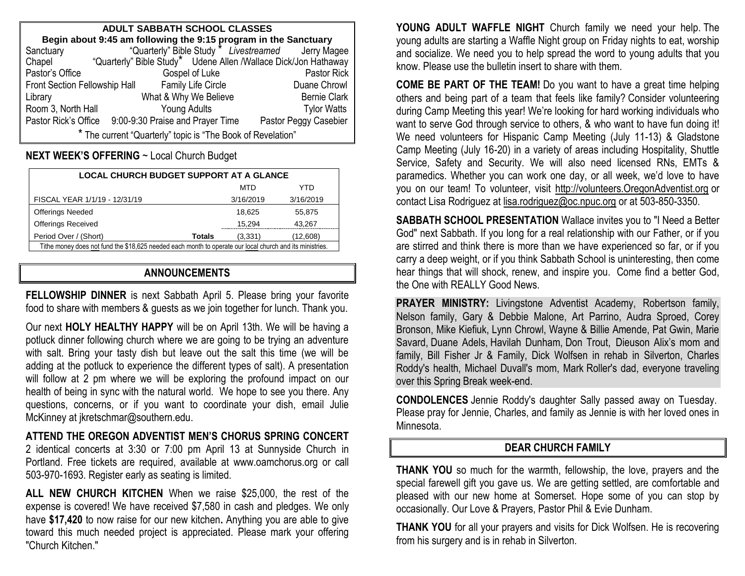| <b>ADULT SABBATH SCHOOL CLASSES</b>                                                                                                |                                  |                       |                                                                 |
|------------------------------------------------------------------------------------------------------------------------------------|----------------------------------|-----------------------|-----------------------------------------------------------------|
| <b>Begin about 9:45 am following the 9:15 program in the Sanctuary</b><br>ctuary "Quarterly" Bible Study "Livestreamed Jerry Magee |                                  |                       |                                                                 |
| Sanctuary                                                                                                                          |                                  |                       |                                                                 |
| Chapel                                                                                                                             |                                  |                       | "Quarterly" Bible Study* Udene Allen /Wallace Dick/Jon Hathaway |
| Pastor's Office                                                                                                                    |                                  | Gospel of Luke        | Pastor Rick                                                     |
| Family Life Circle<br>Front Section Fellowship Hall                                                                                |                                  |                       | Duane Chrowl                                                    |
| Library                                                                                                                            |                                  | What & Why We Believe | <b>Bernie Clark</b>                                             |
| Room 3, North Hall                                                                                                                 |                                  | <b>Young Adults</b>   | <b>Tylor Watts</b>                                              |
| Pastor Rick's Office                                                                                                               | 9:00-9:30 Praise and Prayer Time |                       | Pastor Peggy Casebier                                           |
| * The current "Quarterly" topic is "The Book of Revelation"                                                                        |                                  |                       |                                                                 |

**NEXT WEEK'S OFFERING** ~ Local Church Budget

| <b>LOCAL CHURCH BUDGET SUPPORT AT A GLANCE</b>                                                           |               |           |           |
|----------------------------------------------------------------------------------------------------------|---------------|-----------|-----------|
|                                                                                                          |               | MTD       | YTD       |
| FISCAL YEAR 1/1/19 - 12/31/19                                                                            |               | 3/16/2019 | 3/16/2019 |
| <b>Offerings Needed</b>                                                                                  |               | 18.625    | 55,875    |
| <b>Offerings Received</b>                                                                                |               | 15.294    | 43,267    |
| Period Over / (Short)                                                                                    | <b>Totals</b> | (3,331)   | (12,608)  |
| Tithe money does not fund the \$18,625 needed each month to operate our local church and its ministries. |               |           |           |

# **ANNOUNCEMENTS**

**FELLOWSHIP DINNER** is next Sabbath April 5. Please bring your favorite food to share with members & guests as we join together for lunch. Thank you.

Our next **HOLY HEALTHY HAPPY** will be on April 13th. We will be having a potluck dinner following church where we are going to be trying an adventure with salt. Bring your tasty dish but leave out the salt this time (we will be adding at the potluck to experience the different types of salt). A presentation will follow at 2 pm where we will be exploring the profound impact on our health of being in sync with the natural world. We hope to see you there. Any questions, concerns, or if you want to coordinate your dish, email Julie McKinney at [jkretschmar@southern.edu.](mailto:jkretschmar@southern.edu)

#### **ATTEND THE OREGON ADVENTIST MEN'S CHORUS SPRING CONCERT**

2 identical concerts at 3:30 or 7:00 pm April 13 at Sunnyside Church in Portland. Free tickets are required, available at [www.oamchorus.org](http://www.oamchorus.org/) or call 503-970-1693. Register early as seating is limited.

**ALL NEW CHURCH KITCHEN** When we raise \$25,000, the rest of the expense is covered! We have received \$7,580 in cash and pledges. We only have **\$17,420** to now raise for our new kitchen**.** Anything you are able to give toward this much needed project is appreciated. Please mark your offering "Church Kitchen."

**YOUNG ADULT WAFFLE NIGHT** Church family we need your help. The young adults are starting a Waffle Night group on Friday nights to eat, worship and socialize. We need you to help spread the word to young adults that you know. Please use the bulletin insert to share with them.

**COME BE PART OF THE TEAM!** Do you want to have a great time helping others and being part of a team that feels like family? Consider volunteering during Camp Meeting this year! We're looking for hard working individuals who want to serve God through service to others, & who want to have fun doing it! We need volunteers for Hispanic Camp Meeting (July 11-13) & Gladstone Camp Meeting (July 16-20) in a variety of areas including Hospitality, Shuttle Service, Safety and Security. We will also need licensed RNs, EMTs & paramedics. Whether you can work one day, or all week, we'd love to have you on our team! To volunteer, visit [http://volunteers.OregonAdventist.org](http://volunteers.oregonadventist.org/) or contact Lisa Rodriguez at [lisa.rodriguez@oc.npuc.org](mailto:lisa.rodriguez@oc.npuc.org) or at 503-850-3350.

**SABBATH SCHOOL PRESENTATION** Wallace invites you to "I Need a Better God" next Sabbath. If you long for a real relationship with our Father, or if you are stirred and think there is more than we have experienced so far, or if you carry a deep weight, or if you think Sabbath School is uninteresting, then come hear things that will shock, renew, and inspire you. Come find a better God, the One with REALLY Good News.

**PRAYER MINISTRY:** Livingstone Adventist Academy, Robertson family, Nelson family, Gary & Debbie Malone, Art Parrino, Audra Sproed, Corey Bronson, Mike Kiefiuk, Lynn Chrowl, Wayne & Billie Amende, Pat Gwin, Marie Savard, Duane Adels, Havilah Dunham, Don Trout, Dieuson Alix's mom and family, Bill Fisher Jr & Family, Dick Wolfsen in rehab in Silverton, Charles Roddy's health, Michael Duvall's mom, Mark Roller's dad, everyone traveling over this Spring Break week-end.

**CONDOLENCES** Jennie Roddy's daughter Sally passed away on Tuesday. Please pray for Jennie, Charles, and family as Jennie is with her loved ones in Minnesota.

### **DEAR CHURCH FAMILY**

**THANK YOU** so much for the warmth, fellowship, the love, prayers and the special farewell gift you gave us. We are getting settled, are comfortable and pleased with our new home at Somerset. Hope some of you can stop by occasionally. Our Love & Prayers, Pastor Phil & Evie Dunham.

**THANK YOU** for all your prayers and visits for Dick Wolfsen. He is recovering from his surgery and is in rehab in Silverton.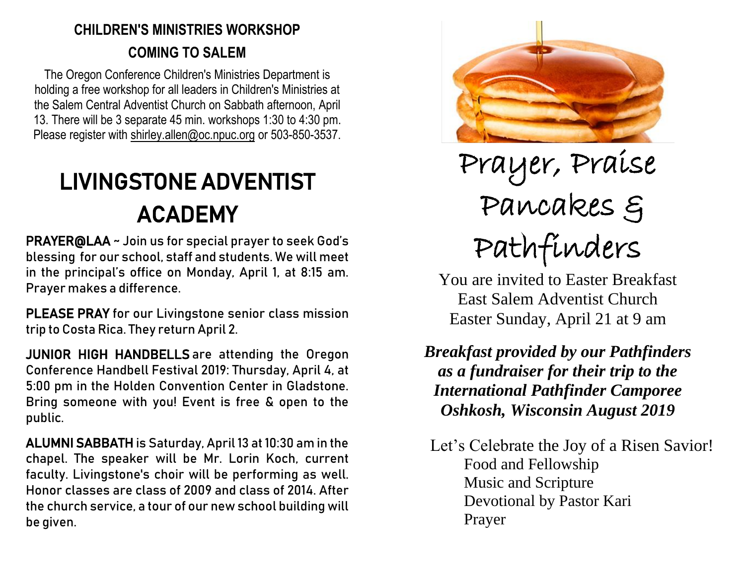# **CHILDREN'S MINISTRIES WORKSHOP COMING TO SALEM**

The Oregon Conference Children's Ministries Department is holding a free workshop for all leaders in Children's Ministries at the Salem Central Adventist Church on Sabbath afternoon, April 13. There will be 3 separate 45 min. workshops 1:30 to 4:30 pm. Please register with [shirley.allen@oc.npuc.org](mailto:shirley.allen@oc.npuc.org) or 503-850-3537.

# LIVINGSTONE ADVENTIST ACADEMY

PRAYER@LAA ~ Join us for special prayer to seek God's blessing for our school, staff and students. We will meet in the principal's office on Monday, April 1, at 8:15 am. Prayer makes a difference.

PLEASE PRAY for our Livingstone senior class mission trip to Costa Rica. They return April 2.

JUNIOR HIGH HANDBELLS are attending the Oregon Conference Handbell Festival 2019: Thursday, April 4, at 5:00 pm in the Holden Convention Center in Gladstone. Bring someone with you! Event is free & open to the public.

ALUMNI SABBATH is Saturday, April 13 at 10:30 am in the chapel. The speaker will be Mr. Lorin Koch, current faculty. Livingstone's choir will be performing as well. Honor classes are class of 2009 and class of 2014. After the church service, a tour of our new school building will be given.



Prayer, Praise Pancakes & Pathfinders

You are invited to Easter Breakfast East Salem Adventist Church Easter Sunday, April 21 at 9 am

*Breakfast provided by our Pathfinders as a fundraiser for their trip to the International Pathfinder Camporee Oshkosh, Wisconsin August 2019*

 Let's Celebrate the Joy of a Risen Savior! Food and Fellowship Music and Scripture Devotional by Pastor Kari Prayer